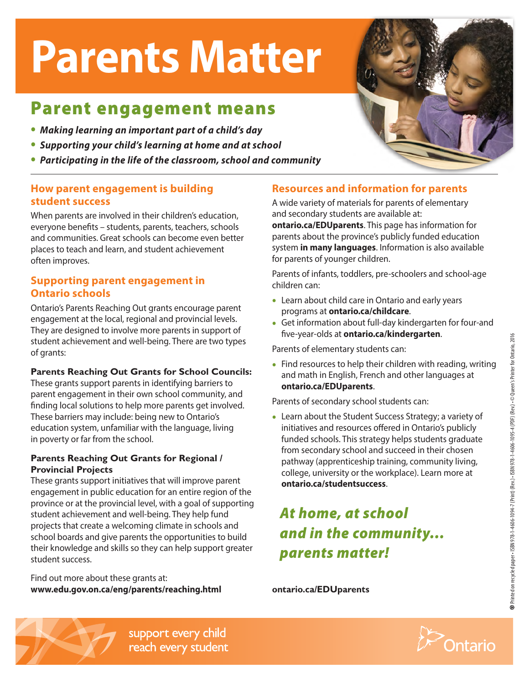## **Parents Matter**

## Parent engagement means

- *• Making learning an important part of a child's day*
- *• Supporting your child's learning at home and at school*
- *• Participating in the life of the classroom, school and community*

### **How parent engagement is building student success**

When parents are involved in their children's education, everyone benefits – students, parents, teachers, schools and communities. Great schools can become even better places to teach and learn, and student achievement often improves.

#### **Supporting parent engagement in Ontario schools**

Ontario's Parents Reaching Out grants encourage parent engagement at the local, regional and provincial levels. They are designed to involve more parents in support of student achievement and well-being. There are two types of grants:

#### **Parents Reaching Out Grants for School Councils:**

These grants support parents in identifying barriers to parent engagement in their own school community, and finding local solutions to help more parents get involved. These barriers may include: being new to Ontario's education system, unfamiliar with the language, living in poverty or far from the school.

#### **Parents Reaching Out Grants for Regional / Provincial Projects**

These grants support initiatives that will improve parent engagement in public education for an entire region of the province or at the provincial level, with a goal of supporting student achievement and well-being. They help fund projects that create a welcoming climate in schools and school boards and give parents the opportunities to build their knowledge and skills so they can help support greater student success.

Find out more about these grants at: **[www.edu.gov.on.ca/eng/parents/reaching.html](http://www.edu.gov.on.ca/eng/parents/reaching.html)**

### **Resources and information for parents**

A wide variety of materials for parents of elementary and secondary students are available at: **[ontario.ca/EDUparents](http://www.ontario.ca/EDUparents)**. This page has information for parents about the province's publicly funded education system **[in many languages](http://www.edu.gov.on.ca/eng/parents/multiLanguages.html)**. Information is also available for parents of younger children.

Parents of infants, toddlers, pre-schoolers and school-age children can:

- Learn about child care in Ontario and early years programs at **[ontario.ca/childcare](http://www.ontario.ca/childcare)**.
- Get information about full-day kindergarten for four-and five-year-olds at **[ontario.ca/kindergarten](http://www.ontario.ca/kindergarten)**.

Parents of elementary students can:

• Find resources to help their children with reading, writing and math in English, French and other languages at **[ontario.ca/EDUparents](http://www.ontario.ca/EDUparents)**.

Parents of secondary school students can:

• Learn about the Student Success Strategy; a variety of initiatives and resources offered in Ontario's publicly funded schools. This strategy helps students graduate from secondary school and succeed in their chosen pathway (apprenticeship training, community living, college, university or the workplace). Learn more at **[ontario.ca/studentsuccess](http://www.ontario.ca/studentsuccess)**.

## *At home, at school and in the community… parents matter!*

**[ontario.ca/EDUparents](http://www.ontario.ca/EDUparents)**

support every child reach every student